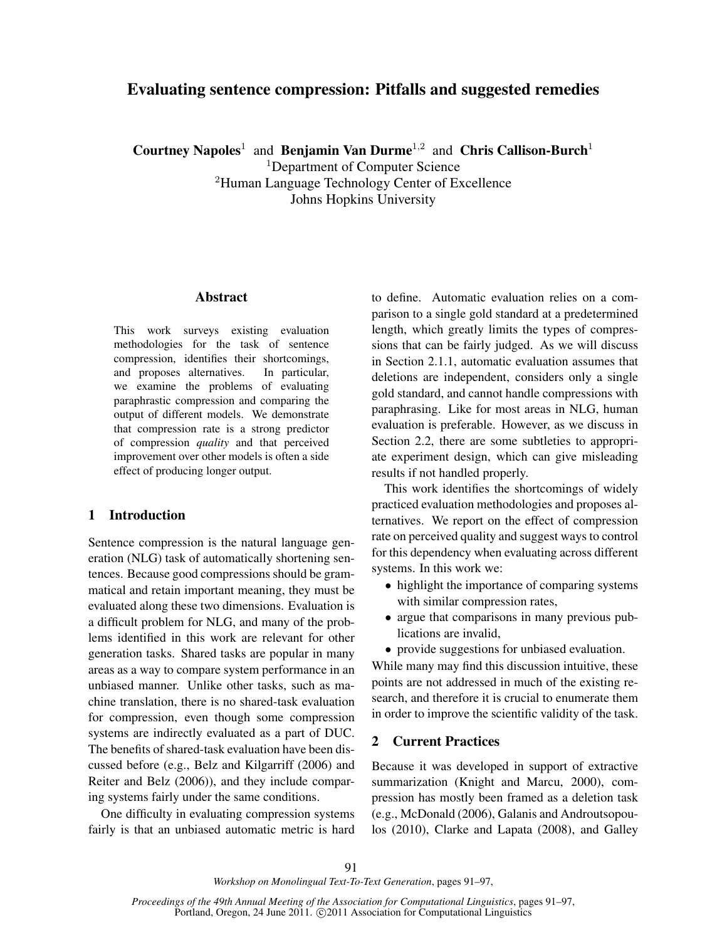# Evaluating sentence compression: Pitfalls and suggested remedies

Courtney Napoles<sup>1</sup> and Benjamin Van Durme<sup>1,2</sup> and Chris Callison-Burch<sup>1</sup> <sup>1</sup>Department of Computer Science <sup>2</sup>Human Language Technology Center of Excellence Johns Hopkins University

#### Abstract

This work surveys existing evaluation methodologies for the task of sentence compression, identifies their shortcomings, and proposes alternatives. In particular, we examine the problems of evaluating paraphrastic compression and comparing the output of different models. We demonstrate that compression rate is a strong predictor of compression *quality* and that perceived improvement over other models is often a side effect of producing longer output.

## 1 Introduction

Sentence compression is the natural language generation (NLG) task of automatically shortening sentences. Because good compressions should be grammatical and retain important meaning, they must be evaluated along these two dimensions. Evaluation is a difficult problem for NLG, and many of the problems identified in this work are relevant for other generation tasks. Shared tasks are popular in many areas as a way to compare system performance in an unbiased manner. Unlike other tasks, such as machine translation, there is no shared-task evaluation for compression, even though some compression systems are indirectly evaluated as a part of DUC. The benefits of shared-task evaluation have been discussed before (e.g., Belz and Kilgarriff (2006) and Reiter and Belz (2006)), and they include comparing systems fairly under the same conditions.

One difficulty in evaluating compression systems fairly is that an unbiased automatic metric is hard to define. Automatic evaluation relies on a comparison to a single gold standard at a predetermined length, which greatly limits the types of compressions that can be fairly judged. As we will discuss in Section 2.1.1, automatic evaluation assumes that deletions are independent, considers only a single gold standard, and cannot handle compressions with paraphrasing. Like for most areas in NLG, human evaluation is preferable. However, as we discuss in Section 2.2, there are some subtleties to appropriate experiment design, which can give misleading results if not handled properly.

This work identifies the shortcomings of widely practiced evaluation methodologies and proposes alternatives. We report on the effect of compression rate on perceived quality and suggest ways to control for this dependency when evaluating across different systems. In this work we:

- highlight the importance of comparing systems with similar compression rates,
- argue that comparisons in many previous publications are invalid,
- provide suggestions for unbiased evaluation.

While many may find this discussion intuitive, these points are not addressed in much of the existing research, and therefore it is crucial to enumerate them in order to improve the scientific validity of the task.

## 2 Current Practices

Because it was developed in support of extractive summarization (Knight and Marcu, 2000), compression has mostly been framed as a deletion task (e.g., McDonald (2006), Galanis and Androutsopoulos (2010), Clarke and Lapata (2008), and Galley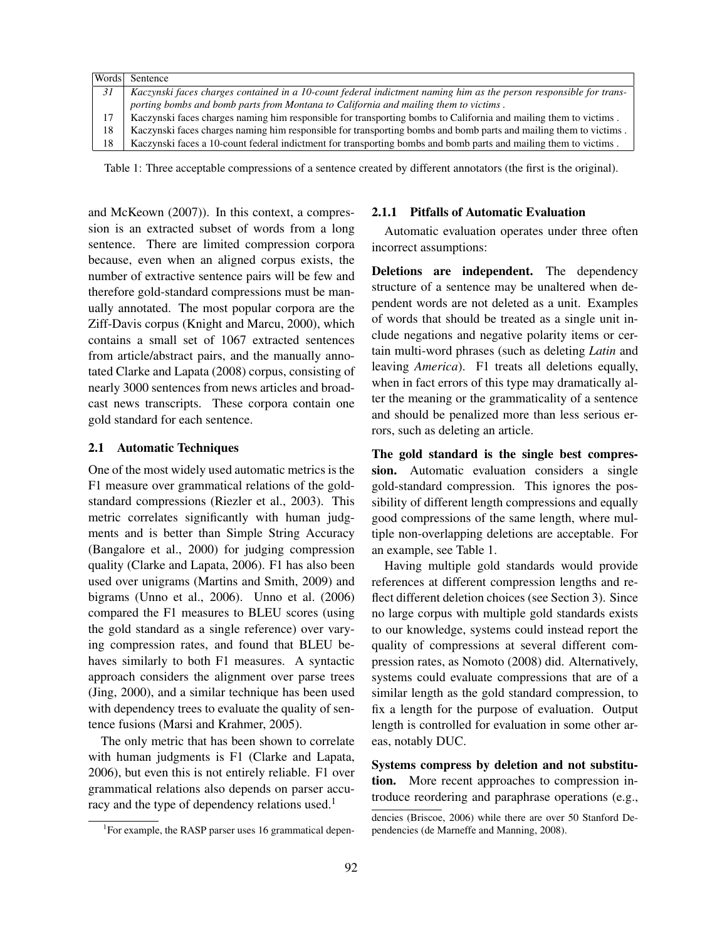| Words | Sentence                                                                                                           |  |  |
|-------|--------------------------------------------------------------------------------------------------------------------|--|--|
| 31    | Kaczynski faces charges contained in a 10-count federal indictment naming him as the person responsible for trans- |  |  |
|       | porting bombs and bomb parts from Montana to California and mailing them to victims.                               |  |  |
| 17    | Kaczynski faces charges naming him responsible for transporting bombs to California and mailing them to victims.   |  |  |
| 18    | Kaczynski faces charges naming him responsible for transporting bombs and bomb parts and mailing them to victims.  |  |  |
| 18    | Kaczynski faces a 10-count federal indictment for transporting bombs and bomb parts and mailing them to victims.   |  |  |

Table 1: Three acceptable compressions of a sentence created by different annotators (the first is the original).

and McKeown (2007)). In this context, a compression is an extracted subset of words from a long sentence. There are limited compression corpora because, even when an aligned corpus exists, the number of extractive sentence pairs will be few and therefore gold-standard compressions must be manually annotated. The most popular corpora are the Ziff-Davis corpus (Knight and Marcu, 2000), which contains a small set of 1067 extracted sentences from article/abstract pairs, and the manually annotated Clarke and Lapata (2008) corpus, consisting of nearly 3000 sentences from news articles and broadcast news transcripts. These corpora contain one gold standard for each sentence.

#### 2.1 Automatic Techniques

One of the most widely used automatic metrics is the F1 measure over grammatical relations of the goldstandard compressions (Riezler et al., 2003). This metric correlates significantly with human judgments and is better than Simple String Accuracy (Bangalore et al., 2000) for judging compression quality (Clarke and Lapata, 2006). F1 has also been used over unigrams (Martins and Smith, 2009) and bigrams (Unno et al., 2006). Unno et al. (2006) compared the F1 measures to BLEU scores (using the gold standard as a single reference) over varying compression rates, and found that BLEU behaves similarly to both F1 measures. A syntactic approach considers the alignment over parse trees (Jing, 2000), and a similar technique has been used with dependency trees to evaluate the quality of sentence fusions (Marsi and Krahmer, 2005).

The only metric that has been shown to correlate with human judgments is F1 (Clarke and Lapata, 2006), but even this is not entirely reliable. F1 over grammatical relations also depends on parser accuracy and the type of dependency relations used.<sup>1</sup>

#### 2.1.1 Pitfalls of Automatic Evaluation

Automatic evaluation operates under three often incorrect assumptions:

Deletions are independent. The dependency structure of a sentence may be unaltered when dependent words are not deleted as a unit. Examples of words that should be treated as a single unit include negations and negative polarity items or certain multi-word phrases (such as deleting *Latin* and leaving *America*). F1 treats all deletions equally, when in fact errors of this type may dramatically alter the meaning or the grammaticality of a sentence and should be penalized more than less serious errors, such as deleting an article.

The gold standard is the single best compression. Automatic evaluation considers a single gold-standard compression. This ignores the possibility of different length compressions and equally good compressions of the same length, where multiple non-overlapping deletions are acceptable. For an example, see Table 1.

Having multiple gold standards would provide references at different compression lengths and reflect different deletion choices (see Section 3). Since no large corpus with multiple gold standards exists to our knowledge, systems could instead report the quality of compressions at several different compression rates, as Nomoto (2008) did. Alternatively, systems could evaluate compressions that are of a similar length as the gold standard compression, to fix a length for the purpose of evaluation. Output length is controlled for evaluation in some other areas, notably DUC.

Systems compress by deletion and not substitution. More recent approaches to compression introduce reordering and paraphrase operations (e.g.,

<sup>&</sup>lt;sup>1</sup>For example, the RASP parser uses 16 grammatical depen-

dencies (Briscoe, 2006) while there are over 50 Stanford Dependencies (de Marneffe and Manning, 2008).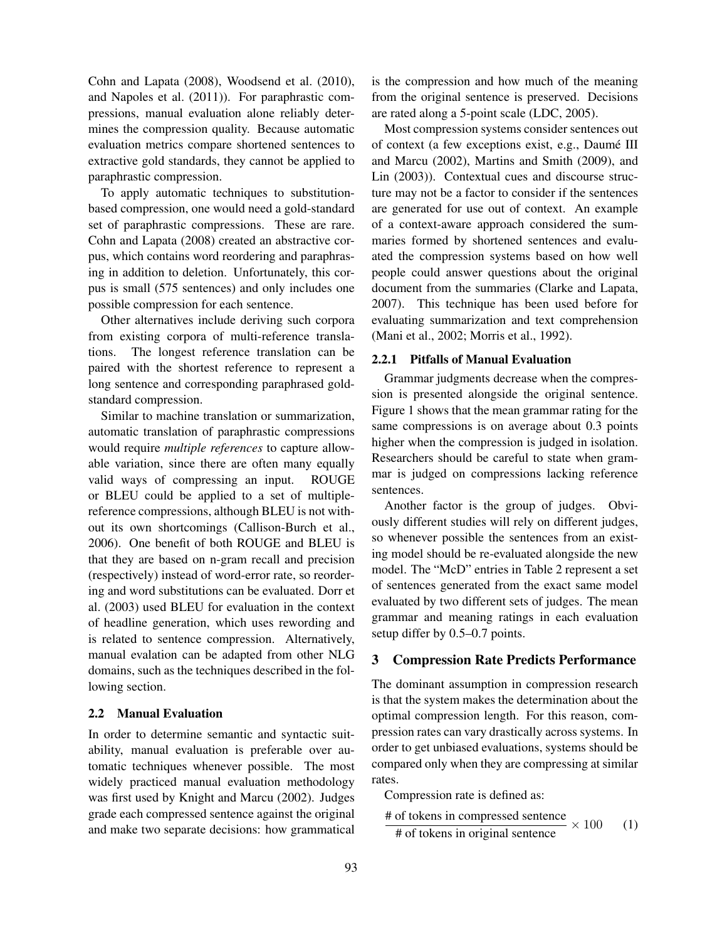Cohn and Lapata (2008), Woodsend et al. (2010), and Napoles et al. (2011)). For paraphrastic compressions, manual evaluation alone reliably determines the compression quality. Because automatic evaluation metrics compare shortened sentences to extractive gold standards, they cannot be applied to paraphrastic compression.

To apply automatic techniques to substitutionbased compression, one would need a gold-standard set of paraphrastic compressions. These are rare. Cohn and Lapata (2008) created an abstractive corpus, which contains word reordering and paraphrasing in addition to deletion. Unfortunately, this corpus is small (575 sentences) and only includes one possible compression for each sentence.

Other alternatives include deriving such corpora from existing corpora of multi-reference translations. The longest reference translation can be paired with the shortest reference to represent a long sentence and corresponding paraphrased goldstandard compression.

Similar to machine translation or summarization, automatic translation of paraphrastic compressions would require *multiple references* to capture allowable variation, since there are often many equally valid ways of compressing an input. ROUGE or BLEU could be applied to a set of multiplereference compressions, although BLEU is not without its own shortcomings (Callison-Burch et al., 2006). One benefit of both ROUGE and BLEU is that they are based on n-gram recall and precision (respectively) instead of word-error rate, so reordering and word substitutions can be evaluated. Dorr et al. (2003) used BLEU for evaluation in the context of headline generation, which uses rewording and is related to sentence compression. Alternatively, manual evalation can be adapted from other NLG domains, such as the techniques described in the following section.

#### 2.2 Manual Evaluation

In order to determine semantic and syntactic suitability, manual evaluation is preferable over automatic techniques whenever possible. The most widely practiced manual evaluation methodology was first used by Knight and Marcu (2002). Judges grade each compressed sentence against the original and make two separate decisions: how grammatical is the compression and how much of the meaning from the original sentence is preserved. Decisions are rated along a 5-point scale (LDC, 2005).

Most compression systems consider sentences out of context (a few exceptions exist, e.g., Daumé III and Marcu (2002), Martins and Smith (2009), and Lin (2003)). Contextual cues and discourse structure may not be a factor to consider if the sentences are generated for use out of context. An example of a context-aware approach considered the summaries formed by shortened sentences and evaluated the compression systems based on how well people could answer questions about the original document from the summaries (Clarke and Lapata, 2007). This technique has been used before for evaluating summarization and text comprehension (Mani et al., 2002; Morris et al., 1992).

#### 2.2.1 Pitfalls of Manual Evaluation

Grammar judgments decrease when the compression is presented alongside the original sentence. Figure 1 shows that the mean grammar rating for the same compressions is on average about 0.3 points higher when the compression is judged in isolation. Researchers should be careful to state when grammar is judged on compressions lacking reference sentences.

Another factor is the group of judges. Obviously different studies will rely on different judges, so whenever possible the sentences from an existing model should be re-evaluated alongside the new model. The "McD" entries in Table 2 represent a set of sentences generated from the exact same model evaluated by two different sets of judges. The mean grammar and meaning ratings in each evaluation setup differ by 0.5–0.7 points.

### 3 Compression Rate Predicts Performance

The dominant assumption in compression research is that the system makes the determination about the optimal compression length. For this reason, compression rates can vary drastically across systems. In order to get unbiased evaluations, systems should be compared only when they are compressing at similar rates.

Compression rate is defined as:

 $\frac{\text{# of tokens in compressed sentence}}{\text{# of the total number of nodes}} \times 100$  (1)

# of tokens in original sentence 
$$
\sim 100
$$
 (1)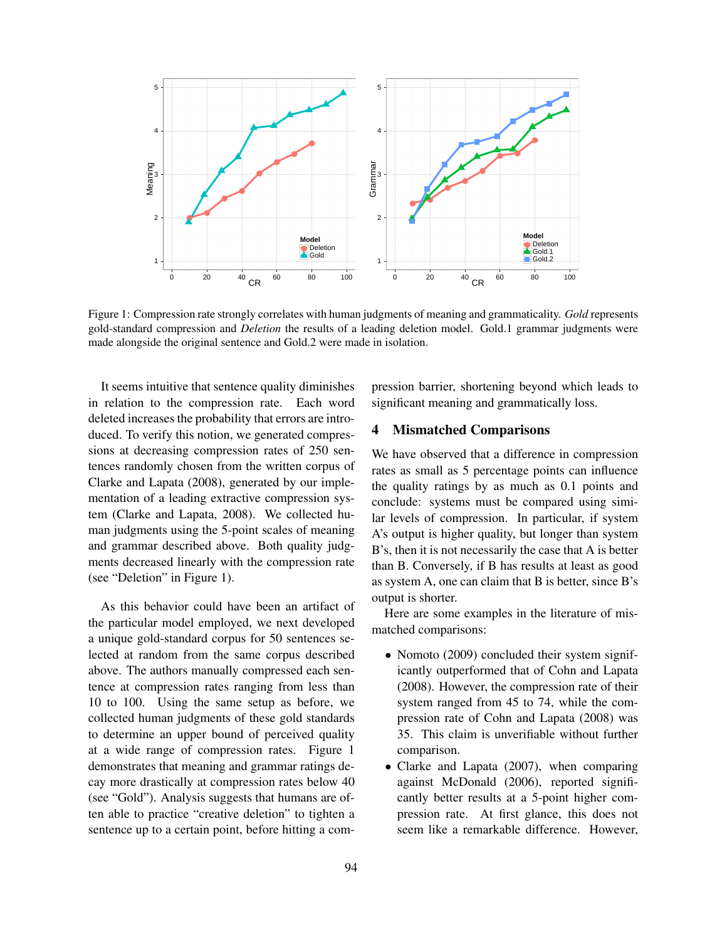

Figure 1: Compression rate strongly correlates with human judgments of meaning and grammaticality. *Gold* represents gold-standard compression and *Deletion* the results of a leading deletion model. Gold.1 grammar judgments were made alongside the original sentence and Gold.2 were made in isolation.

It seems intuitive that sentence quality diminishes in relation to the compression rate. Each word deleted increases the probability that errors are introduced. To verify this notion, we generated compressions at decreasing compression rates of 250 sentences randomly chosen from the written corpus of Clarke and Lapata (2008), generated by our implementation of a leading extractive compression system (Clarke and Lapata, 2008). We collected human judgments using the 5-point scales of meaning and grammar described above. Both quality judgments decreased linearly with the compression rate (see "Deletion" in Figure 1).

As this behavior could have been an artifact of the particular model employed, we next developed a unique gold-standard corpus for 50 sentences selected at random from the same corpus described above. The authors manually compressed each sentence at compression rates ranging from less than 10 to 100. Using the same setup as before, we collected human judgments of these gold standards to determine an upper bound of perceived quality at a wide range of compression rates. Figure 1 demonstrates that meaning and grammar ratings decay more drastically at compression rates below 40 (see "Gold"). Analysis suggests that humans are often able to practice "creative deletion" to tighten a sentence up to a certain point, before hitting a compression barrier, shortening beyond which leads to significant meaning and grammatically loss.

## 4 Mismatched Comparisons

We have observed that a difference in compression rates as small as 5 percentage points can influence the quality ratings by as much as 0.1 points and conclude: systems must be compared using similar levels of compression. In particular, if system A's output is higher quality, but longer than system B's, then it is not necessarily the case that A is better than B. Conversely, if B has results at least as good as system A, one can claim that B is better, since B's output is shorter.

Here are some examples in the literature of mismatched comparisons:

- Nomoto (2009) concluded their system significantly outperformed that of Cohn and Lapata (2008). However, the compression rate of their system ranged from 45 to 74, while the compression rate of Cohn and Lapata (2008) was 35. This claim is unverifiable without further comparison.
- Clarke and Lapata (2007), when comparing against McDonald (2006), reported significantly better results at a 5-point higher compression rate. At first glance, this does not seem like a remarkable difference. However,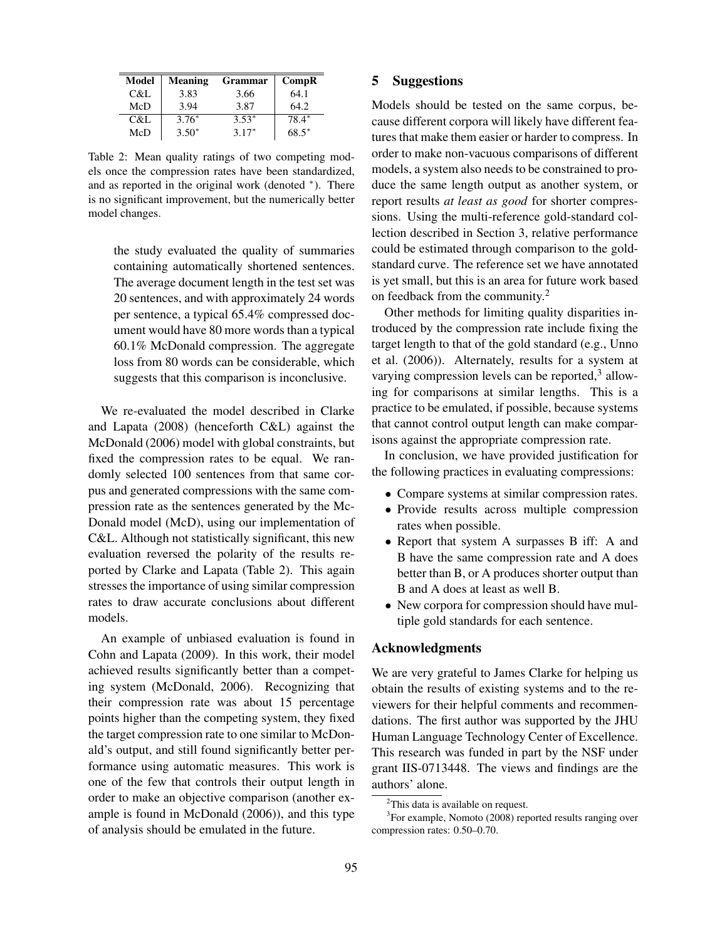| Model | <b>Meaning</b> | <b>Grammar</b> | Comp <sub>R</sub> |
|-------|----------------|----------------|-------------------|
| C&L   | 3.83           | 3.66           | 64.1              |
| McD   | 3.94           | 3.87           | 64.2              |
| C&L   | $3.76*$        | $3.53*$        | 78.4*             |
| McD   | $3.50*$        | $3.17*$        | $68.5*$           |

Table 2: Mean quality ratings of two competing models once the compression rates have been standardized, and as reported in the original work (denoted <sup>∗</sup> ). There is no significant improvement, but the numerically better model changes.

the study evaluated the quality of summaries containing automatically shortened sentences. The average document length in the test set was 20 sentences, and with approximately 24 words per sentence, a typical 65.4% compressed document would have 80 more words than a typical 60.1% McDonald compression. The aggregate loss from 80 words can be considerable, which suggests that this comparison is inconclusive.

We re-evaluated the model described in Clarke and Lapata (2008) (henceforth C&L) against the McDonald (2006) model with global constraints, but fixed the compression rates to be equal. We randomly selected 100 sentences from that same corpus and generated compressions with the same compression rate as the sentences generated by the Mc-Donald model (McD), using our implementation of C&L. Although not statistically significant, this new evaluation reversed the polarity of the results reported by Clarke and Lapata (Table 2). This again stresses the importance of using similar compression rates to draw accurate conclusions about different models.

An example of unbiased evaluation is found in Cohn and Lapata (2009). In this work, their model achieved results significantly better than a competing system (McDonald, 2006). Recognizing that their compression rate was about 15 percentage points higher than the competing system, they fixed the target compression rate to one similar to McDonald's output, and still found significantly better performance using automatic measures. This work is one of the few that controls their output length in order to make an objective comparison (another example is found in McDonald (2006)), and this type of analysis should be emulated in the future.

### 5 Suggestions

Models should be tested on the same corpus, because different corpora will likely have different features that make them easier or harder to compress. In order to make non-vacuous comparisons of different models, a system also needs to be constrained to produce the same length output as another system, or report results *at least as good* for shorter compressions. Using the multi-reference gold-standard collection described in Section 3, relative performance could be estimated through comparison to the goldstandard curve. The reference set we have annotated is yet small, but this is an area for future work based on feedback from the community.<sup>2</sup>

Other methods for limiting quality disparities introduced by the compression rate include fixing the target length to that of the gold standard (e.g., Unno et al. (2006)). Alternately, results for a system at varying compression levels can be reported, $3$  allowing for comparisons at similar lengths. This is a practice to be emulated, if possible, because systems that cannot control output length can make comparisons against the appropriate compression rate.

In conclusion, we have provided justification for the following practices in evaluating compressions:

- Compare systems at similar compression rates.
- Provide results across multiple compression rates when possible.
- Report that system A surpasses B iff: A and B have the same compression rate and A does better than B, or A produces shorter output than B and A does at least as well B.
- New corpora for compression should have multiple gold standards for each sentence.

### Acknowledgments

We are very grateful to James Clarke for helping us obtain the results of existing systems and to the reviewers for their helpful comments and recommendations. The first author was supported by the JHU Human Language Technology Center of Excellence. This research was funded in part by the NSF under grant IIS-0713448. The views and findings are the authors' alone.

<sup>&</sup>lt;sup>2</sup>This data is available on request.

<sup>&</sup>lt;sup>3</sup>For example, Nomoto (2008) reported results ranging over compression rates: 0.50–0.70.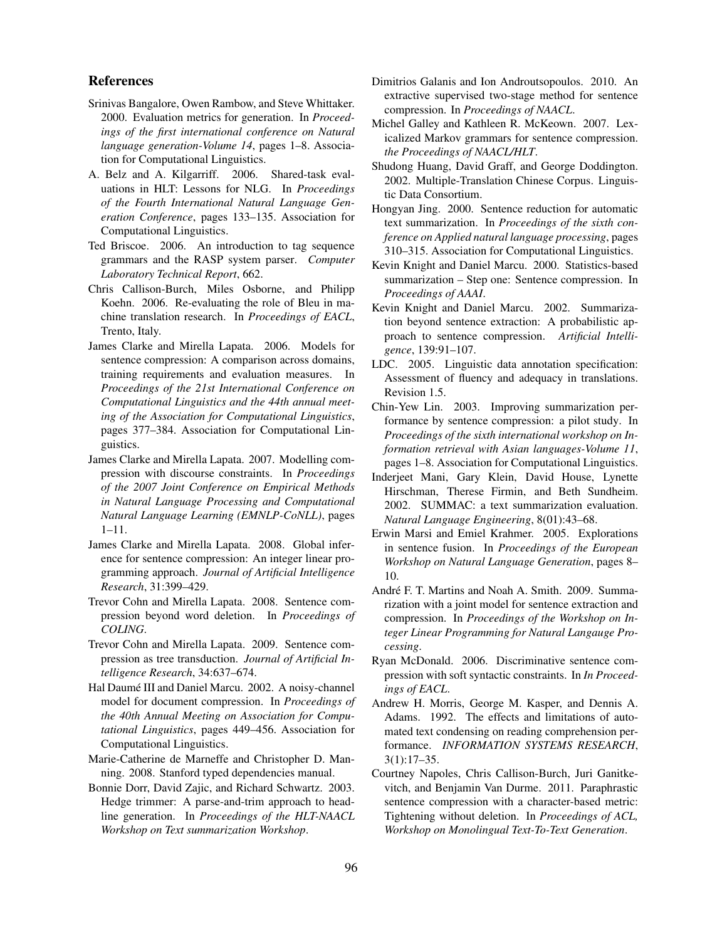### References

- Srinivas Bangalore, Owen Rambow, and Steve Whittaker. 2000. Evaluation metrics for generation. In *Proceedings of the first international conference on Natural language generation-Volume 14*, pages 1–8. Association for Computational Linguistics.
- A. Belz and A. Kilgarriff. 2006. Shared-task evaluations in HLT: Lessons for NLG. In *Proceedings of the Fourth International Natural Language Generation Conference*, pages 133–135. Association for Computational Linguistics.
- Ted Briscoe. 2006. An introduction to tag sequence grammars and the RASP system parser. *Computer Laboratory Technical Report*, 662.
- Chris Callison-Burch, Miles Osborne, and Philipp Koehn. 2006. Re-evaluating the role of Bleu in machine translation research. In *Proceedings of EACL*, Trento, Italy.
- James Clarke and Mirella Lapata. 2006. Models for sentence compression: A comparison across domains, training requirements and evaluation measures. In *Proceedings of the 21st International Conference on Computational Linguistics and the 44th annual meeting of the Association for Computational Linguistics*, pages 377–384. Association for Computational Linguistics.
- James Clarke and Mirella Lapata. 2007. Modelling compression with discourse constraints. In *Proceedings of the 2007 Joint Conference on Empirical Methods in Natural Language Processing and Computational Natural Language Learning (EMNLP-CoNLL)*, pages 1–11.
- James Clarke and Mirella Lapata. 2008. Global inference for sentence compression: An integer linear programming approach. *Journal of Artificial Intelligence Research*, 31:399–429.
- Trevor Cohn and Mirella Lapata. 2008. Sentence compression beyond word deletion. In *Proceedings of COLING*.
- Trevor Cohn and Mirella Lapata. 2009. Sentence compression as tree transduction. *Journal of Artificial Intelligence Research*, 34:637–674.
- Hal Daumé III and Daniel Marcu. 2002. A noisy-channel model for document compression. In *Proceedings of the 40th Annual Meeting on Association for Computational Linguistics*, pages 449–456. Association for Computational Linguistics.
- Marie-Catherine de Marneffe and Christopher D. Manning. 2008. Stanford typed dependencies manual.
- Bonnie Dorr, David Zajic, and Richard Schwartz. 2003. Hedge trimmer: A parse-and-trim approach to headline generation. In *Proceedings of the HLT-NAACL Workshop on Text summarization Workshop*.
- Dimitrios Galanis and Ion Androutsopoulos. 2010. An extractive supervised two-stage method for sentence compression. In *Proceedings of NAACL*.
- Michel Galley and Kathleen R. McKeown. 2007. Lexicalized Markov grammars for sentence compression. *the Proceedings of NAACL/HLT*.
- Shudong Huang, David Graff, and George Doddington. 2002. Multiple-Translation Chinese Corpus. Linguistic Data Consortium.
- Hongyan Jing. 2000. Sentence reduction for automatic text summarization. In *Proceedings of the sixth conference on Applied natural language processing*, pages 310–315. Association for Computational Linguistics.
- Kevin Knight and Daniel Marcu. 2000. Statistics-based summarization – Step one: Sentence compression. In *Proceedings of AAAI*.
- Kevin Knight and Daniel Marcu. 2002. Summarization beyond sentence extraction: A probabilistic approach to sentence compression. *Artificial Intelligence*, 139:91–107.
- LDC. 2005. Linguistic data annotation specification: Assessment of fluency and adequacy in translations. Revision 1.5.
- Chin-Yew Lin. 2003. Improving summarization performance by sentence compression: a pilot study. In *Proceedings of the sixth international workshop on Information retrieval with Asian languages-Volume 11*, pages 1–8. Association for Computational Linguistics.
- Inderjeet Mani, Gary Klein, David House, Lynette Hirschman, Therese Firmin, and Beth Sundheim. 2002. SUMMAC: a text summarization evaluation. *Natural Language Engineering*, 8(01):43–68.
- Erwin Marsi and Emiel Krahmer. 2005. Explorations in sentence fusion. In *Proceedings of the European Workshop on Natural Language Generation*, pages 8– 10.
- André F. T. Martins and Noah A. Smith. 2009. Summarization with a joint model for sentence extraction and compression. In *Proceedings of the Workshop on Integer Linear Programming for Natural Langauge Processing*.
- Ryan McDonald. 2006. Discriminative sentence compression with soft syntactic constraints. In *In Proceedings of EACL*.
- Andrew H. Morris, George M. Kasper, and Dennis A. Adams. 1992. The effects and limitations of automated text condensing on reading comprehension performance. *INFORMATION SYSTEMS RESEARCH*, 3(1):17–35.
- Courtney Napoles, Chris Callison-Burch, Juri Ganitkevitch, and Benjamin Van Durme. 2011. Paraphrastic sentence compression with a character-based metric: Tightening without deletion. In *Proceedings of ACL, Workshop on Monolingual Text-To-Text Generation*.